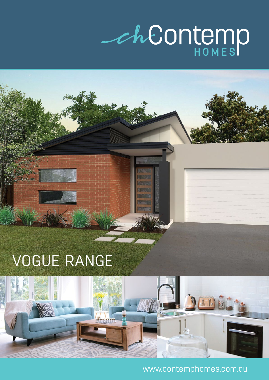## *Ch*Contemp

## VOGUE RANGE



www.contemphomes.com.au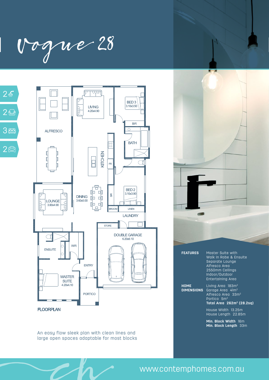Vogue 28





An easy flow sleek plan with clean lines and large open spaces adaptable for most blocks



|                                  | WULIN III INODU ULI LIIBUILU<br>Separate Lounge<br>Alfresco Area<br>2550mm Ceilings<br>Indoor/Outdoor<br><b>Entertaining Area</b>                          |
|----------------------------------|------------------------------------------------------------------------------------------------------------------------------------------------------------|
| <b>HOME</b><br><b>DIMENSIONS</b> | Living Area 183m <sup>2</sup><br>Garage Area $41m^2$<br>Alfresco Area 33m <sup>2</sup><br>Portico 5m <sup>2</sup><br>Total Area 262m <sup>2</sup> (28.2sq) |
|                                  | House Width 13.25m<br>House Length 22.85m                                                                                                                  |
|                                  | Min <b>Block Width</b> IAm                                                                                                                                 |

**Min. Block Width** 16m **Min. Block Length** 33m

www.contemphomes.com.au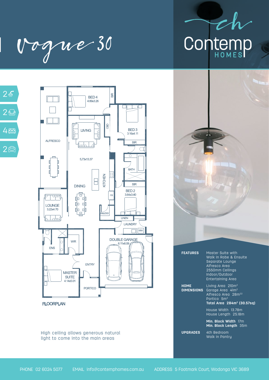

| Vogue 30





## **FLOORPLAN**

High ceiling allows generous natural light to come into the main areas

| <b>FEATURES</b> | Master Suite with<br>Walk in Robe & Ensuite<br>Separate Lounge<br>Alfresco Area<br>2550mm Ceilings<br>Indoor/Outdoor<br>Entertaining Area |
|-----------------|-------------------------------------------------------------------------------------------------------------------------------------------|
| <b>HOME</b>     | Living Area 210m <sup>2</sup>                                                                                                             |

|                             | Walk in Robe & Ensuite<br>Separate Lounge<br>Alfresco Area<br>2550mm Ceilings<br>Indoor/Outdoor<br><b>Entertaining Area</b>                                                             |
|-----------------------------|-----------------------------------------------------------------------------------------------------------------------------------------------------------------------------------------|
| <b>HOME</b>                 | Living Area 210m <sup>2</sup><br><b>DIMENSIONS</b> Garage Area 41m <sup>2</sup><br>Alfresco Area 28m <sup>22</sup><br>Portico 5m <sup>2</sup><br>Total Area 284m <sup>2</sup> (30.57sg) |
|                             | House Width 13.78m<br>House Length 25.18m                                                                                                                                               |
|                             | Min. Block Width 17m<br>Min. Block Length 35m                                                                                                                                           |
| <b>UPGRADES</b> 4th Bedroom | Walk in Pantry                                                                                                                                                                          |